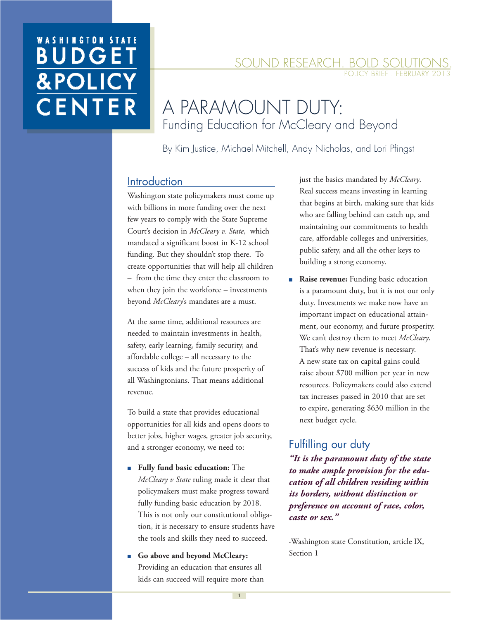# **WASHINGTON STATE BUDGE &POLIC** CENTER

#### SOUND RESEARCH. BOLD SOLUTIO POLICY BRIEF . FEBRUARY 20

## A PARAMOUNT DUTY: Funding Education for McCleary and Beyond

By Kim Justice, Michael Mitchell, Andy Nicholas, and Lori Pfingst

### **Introduction**

Washington state policymakers must come up with billions in more funding over the next few years to comply with the State Supreme Court's decision in *McCleary v. State*, which mandated a significant boost in K-12 school funding. But they shouldn't stop there. To create opportunities that will help all children – from the time they enter the classroom to when they join the workforce - investments beyond *McCleary*'s mandates are a must.

At the same time, additional resources are needed to maintain investments in health, safety, early learning, family security, and affordable college – all necessary to the success of kids and the future prosperity of all Washingtonians. That means additional revenue.

To build a state that provides educational opportunities for all kids and opens doors to better jobs, higher wages, greater job security, and a stronger economy, we need to:

- **Fully fund basic education:** The *McCleary v State* ruling made it clear that policymakers must make progress toward fully funding basic education by 2018. This is not only our constitutional obligation, it is necessary to ensure students have the tools and skills they need to succeed.
- Go above and beyond McCleary: Providing an education that ensures all kids can succeed will require more than

just the basics mandated by *McCleary*. Real success means investing in learning that begins at birth, making sure that kids who are falling behind can catch up, and maintaining our commitments to health care, affordable colleges and universities, public safety, and all the other keys to building a strong economy.

■ **Raise revenue:** Funding basic education is a paramount duty, but it is not our only duty. Investments we make now have an important impact on educational attainment, our economy, and future prosperity. We can't destroy them to meet *McCleary*. That's why new revenue is necessary. A new state tax on capital gains could raise about \$700 million per year in new resources. Policymakers could also extend tax increases passed in 2010 that are set to expire, generating \$630 million in the next budget cycle.

### Fulfilling our duty

*"It is the paramount duty of the state to make ample provision for the education of all children residing within its borders, without distinction or preference on account of race, color, caste or sex."* 

-Washington state Constitution, article IX, Section 1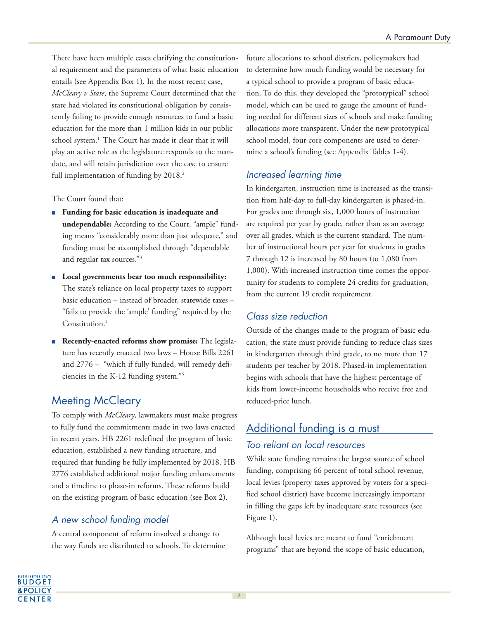There have been multiple cases clarifying the constitutional requirement and the parameters of what basic education entails (see Appendix Box 1). In the most recent case, *McCleary v State*, the Supreme Court determined that the state had violated its constitutional obligation by consistently failing to provide enough resources to fund a basic education for the more than 1 million kids in our public school system.<sup>1</sup> The Court has made it clear that it will play an active role as the legislature responds to the mandate, and will retain jurisdiction over the case to ensure full implementation of funding by 2018.<sup>2</sup>

The Court found that:

- **Funding for basic education is inadequate and undependable:** According to the Court, "ample" funding means "considerably more than just adequate," and funding must be accomplished through "dependable and regular tax sources."<sup>3</sup>
- Local governments bear too much responsibility: The state's reliance on local property taxes to support basic education – instead of broader, statewide taxes – "fails to provide the 'ample' funding" required by the Constitution.<sup>4</sup>
- **Recently-enacted reforms show promise:** The legislature has recently enacted two laws – House Bills 2261 and 2776 – "which if fully funded, will remedy deficiencies in the K-12 funding system."<sup>5</sup>

## Meeting McCleary

To comply with *McCleary*, lawmakers must make progress to fully fund the commitments made in two laws enacted in recent years. HB 2261 redefined the program of basic education, established a new funding structure, and required that funding be fully implemented by 2018. HB 2776 established additional major funding enhancements and a timeline to phase-in reforms. These reforms build on the existing program of basic education (see Box 2).

### A new school funding model

A central component of reform involved a change to the way funds are distributed to schools. To determine future allocations to school districts, policymakers had to determine how much funding would be necessary for a typical school to provide a program of basic education. To do this, they developed the "prototypical" school model, which can be used to gauge the amount of funding needed for different sizes of schools and make funding allocations more transparent. Under the new prototypical school model, four core components are used to determine a school's funding (see Appendix Tables 1-4).

### Increased learning time

In kindergarten, instruction time is increased as the transition from half-day to full-day kindergarten is phased-in. For grades one through six, 1,000 hours of instruction are required per year by grade, rather than as an average over all grades, which is the current standard. The number of instructional hours per year for students in grades 7 through 12 is increased by 80 hours (to 1,080 from 1,000). With increased instruction time comes the opportunity for students to complete 24 credits for graduation, from the current 19 credit requirement.

### Class size reduction

Outside of the changes made to the program of basic education, the state must provide funding to reduce class sizes in kindergarten through third grade, to no more than 17 students per teacher by 2018. Phased-in implementation begins with schools that have the highest percentage of kids from lower-income households who receive free and reduced-price lunch.

## Additional funding is a must

### Too reliant on local resources

While state funding remains the largest source of school funding, comprising 66 percent of total school revenue, local levies (property taxes approved by voters for a specified school district) have become increasingly important in filling the gaps left by inadequate state resources (see Figure 1).

Although local levies are meant to fund "enrichment programs" that are beyond the scope of basic education,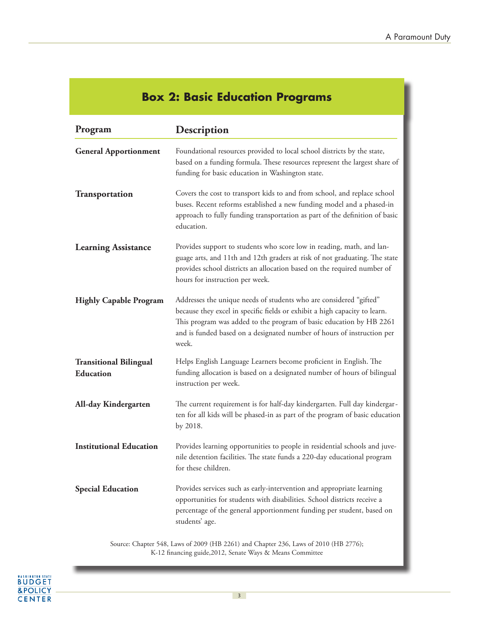## **Box 2: Basic Education Programs**

| Program                                    | Description                                                                                                                                                                                                                                                                                                |
|--------------------------------------------|------------------------------------------------------------------------------------------------------------------------------------------------------------------------------------------------------------------------------------------------------------------------------------------------------------|
| <b>General Apportionment</b>               | Foundational resources provided to local school districts by the state,<br>based on a funding formula. These resources represent the largest share of<br>funding for basic education in Washington state.                                                                                                  |
| <b>Transportation</b>                      | Covers the cost to transport kids to and from school, and replace school<br>buses. Recent reforms established a new funding model and a phased-in<br>approach to fully funding transportation as part of the definition of basic<br>education.                                                             |
| <b>Learning Assistance</b>                 | Provides support to students who score low in reading, math, and lan-<br>guage arts, and 11th and 12th graders at risk of not graduating. The state<br>provides school districts an allocation based on the required number of<br>hours for instruction per week.                                          |
| <b>Highly Capable Program</b>              | Addresses the unique needs of students who are considered "gifted"<br>because they excel in specific fields or exhibit a high capacity to learn.<br>This program was added to the program of basic education by HB 2261<br>and is funded based on a designated number of hours of instruction per<br>week. |
| <b>Transitional Bilingual</b><br>Education | Helps English Language Learners become proficient in English. The<br>funding allocation is based on a designated number of hours of bilingual<br>instruction per week.                                                                                                                                     |
| All-day Kindergarten                       | The current requirement is for half-day kindergarten. Full day kindergar-<br>ten for all kids will be phased-in as part of the program of basic education<br>by 2018.                                                                                                                                      |
| <b>Institutional Education</b>             | Provides learning opportunities to people in residential schools and juve-<br>nile detention facilities. The state funds a 220-day educational program<br>for these children.                                                                                                                              |
| <b>Special Education</b>                   | Provides services such as early-intervention and appropriate learning<br>opportunities for students with disabilities. School districts receive a<br>percentage of the general apportionment funding per student, based on<br>students' age.                                                               |

Source: Chapter 548, Laws of 2009 (HB 2261) and Chapter 236, Laws of 2010 (HB 2776); K-12 financing guide,2012, Senate Ways & Means Committee

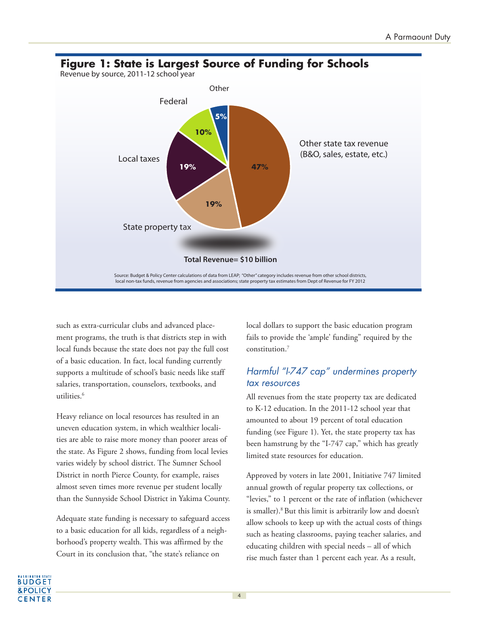

such as extra-curricular clubs and advanced placement programs, the truth is that districts step in with local funds because the state does not pay the full cost of a basic education. In fact, local funding currently supports a multitude of school's basic needs like staff salaries, transportation, counselors, textbooks, and utilities.<sup>6</sup>

Heavy reliance on local resources has resulted in an uneven education system, in which wealthier localities are able to raise more money than poorer areas of the state. As Figure 2 shows, funding from local levies varies widely by school district. The Sumner School District in north Pierce County, for example, raises almost seven times more revenue per student locally than the Sunnyside School District in Yakima County.

Adequate state funding is necessary to safeguard access to a basic education for all kids, regardless of a neighborhood's property wealth. This was affirmed by the Court in its conclusion that, "the state's reliance on

local dollars to support the basic education program fails to provide the 'ample' funding" required by the constitution.<sup>7</sup>

### Harmful "I-747 cap" undermines property tax resources

All revenues from the state property tax are dedicated to K-12 education. In the 2011-12 school year that amounted to about 19 percent of total education funding (see Figure 1). Yet, the state property tax has been hamstrung by the "I-747 cap," which has greatly limited state resources for education.

Approved by voters in late 2001, Initiative 747 limited annual growth of regular property tax collections, or "levies," to 1 percent or the rate of inflation (whichever is smaller).<sup>8</sup> But this limit is arbitrarily low and doesn't allow schools to keep up with the actual costs of things such as heating classrooms, paying teacher salaries, and educating children with special needs – all of which rise much faster than 1 percent each year. As a result,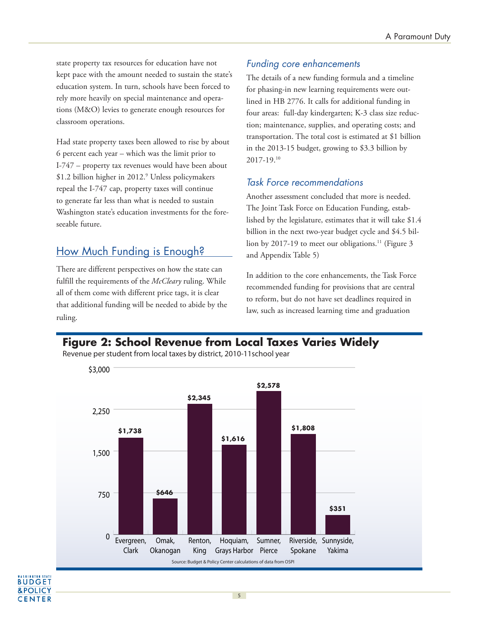state property tax resources for education have not kept pace with the amount needed to sustain the state's education system. In turn, schools have been forced to rely more heavily on special maintenance and operations (M&O) levies to generate enough resources for classroom operations.

Had state property taxes been allowed to rise by about 6 percent each year – which was the limit prior to I-747 – property tax revenues would have been about \$1.2 billion higher in 2012.<sup>9</sup> Unless policymakers repeal the I-747 cap, property taxes will continue to generate far less than what is needed to sustain Washington state's education investments for the foreseeable future.

### How Much Funding is Enough?

UDGET **&POLICY CENTER**  There are different perspectives on how the state can fulfill the requirements of the *McCleary* ruling. While all of them come with different price tags, it is clear that additional funding will be needed to abide by the ruling.

### Funding core enhancements

The details of a new funding formula and a timeline for phasing-in new learning requirements were outlined in HB 2776. It calls for additional funding in four areas: full-day kindergarten; K-3 class size reduction; maintenance, supplies, and operating costs; and transportation. The total cost is estimated at \$1 billion in the 2013-15 budget, growing to \$3.3 billion by 2017-19.<sup>10</sup>

### Task Force recommendations

Another assessment concluded that more is needed. The Joint Task Force on Education Funding, established by the legislature, estimates that it will take \$1.4 billion in the next two-year budget cycle and \$4.5 billion by 2017-19 to meet our obligations.<sup>11</sup> (Figure 3) and Appendix Table 5)

In addition to the core enhancements, the Task Force recommended funding for provisions that are central to reform, but do not have set deadlines required in law, such as increased learning time and graduation

### **Figure 2: School Revenue from Local Taxes Varies Widely**

Source: Budget & Policy Center calculations of data from OSPI  $\theta$ 750 1,500 2,250 \$3,000 Riverside, Sunnyside, Yakima Spokane Sumner, Grays Harbor Pierce Hoquiam, Renton, King Omak, Okanogan Evergreen, Clark **\$1,738 \$646 \$2,345 \$2,578 \$1,808 \$351 \$1,616**

5

Revenue per student from local taxes by district, 2010-11school year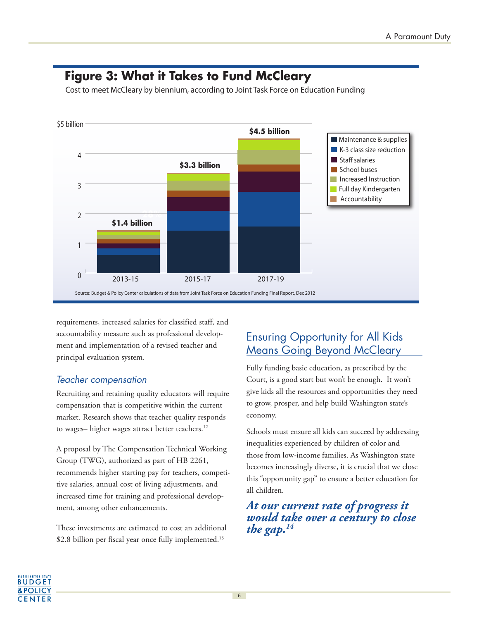

## **Figure 3: What it Takes to Fund McCleary**

Cost to meet McCleary by biennium, according to Joint Task Force on Education Funding

requirements, increased salaries for classified staff, and accountability measure such as professional development and implementation of a revised teacher and principal evaluation system.

### Teacher compensation

Recruiting and retaining quality educators will require compensation that is competitive within the current market. Research shows that teacher quality responds to wages– higher wages attract better teachers.<sup>12</sup>

A proposal by The Compensation Technical Working Group (TWG), authorized as part of HB 2261, recommends higher starting pay for teachers, competitive salaries, annual cost of living adjustments, and increased time for training and professional development, among other enhancements.

These investments are estimated to cost an additional \$2.8 billion per fiscal year once fully implemented.<sup>13</sup>

## Ensuring Opportunity for All Kids Means Going Beyond McCleary

Fully funding basic education, as prescribed by the Court, is a good start but won't be enough. It won't give kids all the resources and opportunities they need to grow, prosper, and help build Washington state's economy.

Schools must ensure all kids can succeed by addressing inequalities experienced by children of color and those from low-income families. As Washington state becomes increasingly diverse, it is crucial that we close this "opportunity gap" to ensure a better education for all children.

*At our current rate of progress it would take over a century to close the gap.14*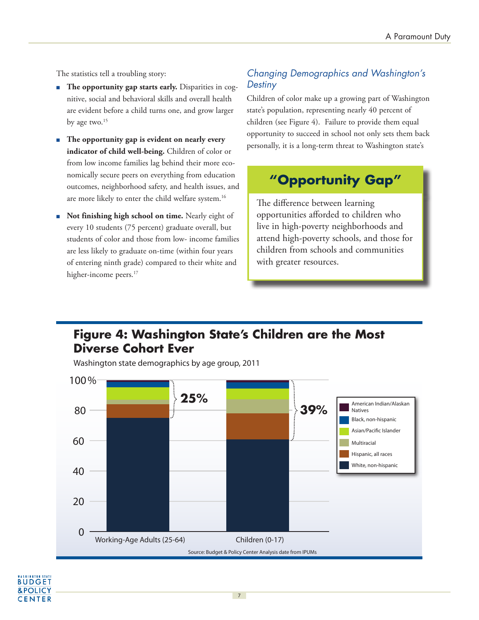The statistics tell a troubling story:

- **The opportunity gap starts early.** Disparities in cognitive, social and behavioral skills and overall health are evident before a child turns one, and grow larger by age two.<sup>15</sup>
- **The opportunity gap is evident on nearly every indicator of child well-being.** Children of color or from low income families lag behind their more economically secure peers on everything from education outcomes, neighborhood safety, and health issues, and are more likely to enter the child welfare system.<sup>16</sup>
- **Not finishing high school on time.** Nearly eight of every 10 students (75 percent) graduate overall, but students of color and those from low- income families are less likely to graduate on-time (within four years of entering ninth grade) compared to their white and higher-income peers.<sup>17</sup>

### Changing Demographics and Washington's **Destiny**

Children of color make up a growing part of Washington state's population, representing nearly 40 percent of children (see Figure 4). Failure to provide them equal opportunity to succeed in school not only sets them back personally, it is a long-term threat to Washington state's

## **"Opportunity Gap"**

The difference between learning opportunities afforded to children who live in high-poverty neighborhoods and attend high-poverty schools, and those for children from schools and communities with greater resources.

## **Figure 4: Washington State's Children are the Most Diverse Cohort Ever**

Washington state demographics by age group, 2011



#### **BUDGET &POLICY CENTER**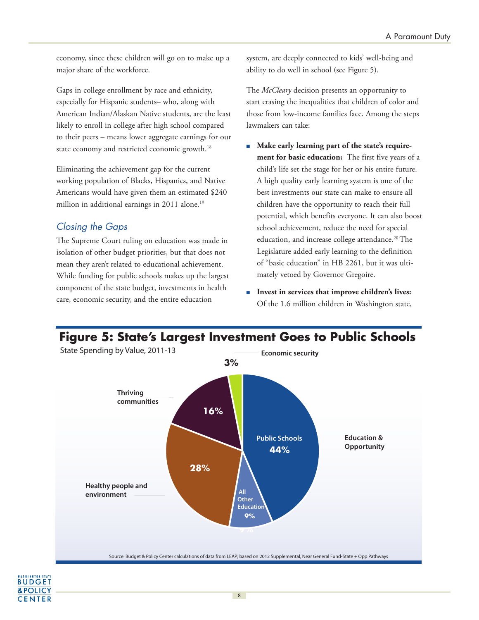economy, since these children will go on to make up a major share of the workforce.

Gaps in college enrollment by race and ethnicity, especially for Hispanic students– who, along with American Indian/Alaskan Native students, are the least likely to enroll in college after high school compared to their peers – means lower aggregate earnings for our state economy and restricted economic growth.<sup>18</sup>

Eliminating the achievement gap for the current working population of Blacks, Hispanics, and Native Americans would have given them an estimated \$240 million in additional earnings in 2011 alone.<sup>19</sup>

### Closing the Gaps

The Supreme Court ruling on education was made in isolation of other budget priorities, but that does not mean they aren't related to educational achievement. While funding for public schools makes up the largest component of the state budget, investments in health care, economic security, and the entire education

system, are deeply connected to kids' well-being and ability to do well in school (see Figure 5).

The *McCleary* decision presents an opportunity to start erasing the inequalities that children of color and those from low-income families face. Among the steps lawmakers can take:

- Make early learning part of the state's require**ment for basic education:** The first five years of a child's life set the stage for her or his entire future. A high quality early learning system is one of the best investments our state can make to ensure all children have the opportunity to reach their full potential, which benefits everyone. It can also boost school achievement, reduce the need for special education, and increase college attendance.<sup>20</sup>The Legislature added early learning to the definition of "basic education" in HB 2261, but it was ultimately vetoed by Governor Gregoire.
- **Invest in services that improve children's lives:** Of the 1.6 million children in Washington state,

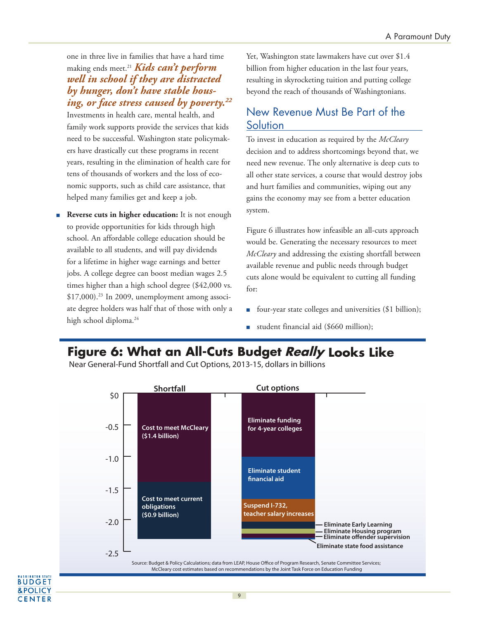one in three live in families that have a hard time making ends meet.<sup>21</sup> *Kids can't perform well in school if they are distracted by hunger, don't have stable housing, or face stress caused by poverty.<sup>22</sup>*

Investments in health care, mental health, and family work supports provide the services that kids need to be successful. Washington state policymakers have drastically cut these programs in recent years, resulting in the elimination of health care for tens of thousands of workers and the loss of economic supports, such as child care assistance, that helped many families get and keep a job.

**Reverse cuts in higher education:** It is not enough to provide opportunities for kids through high school. An affordable college education should be available to all students, and will pay dividends for a lifetime in higher wage earnings and better jobs. A college degree can boost median wages 2.5 times higher than a high school degree (\$42,000 vs. \$17,000).<sup>23</sup> In 2009, unemployment among associate degree holders was half that of those with only a high school diploma.<sup>24</sup>

BUDGET **&POLICY CENTER**  Yet, Washington state lawmakers have cut over \$1.4 billion from higher education in the last four years, resulting in skyrocketing tuition and putting college beyond the reach of thousands of Washingtonians.

### New Revenue Must Be Part of the **Solution**

To invest in education as required by the *McCleary* decision and to address shortcomings beyond that, we need new revenue. The only alternative is deep cuts to all other state services, a course that would destroy jobs and hurt families and communities, wiping out any gains the economy may see from a better education system.

Figure 6 illustrates how infeasible an all-cuts approach would be. Generating the necessary resources to meet *McCleary* and addressing the existing shortfall between available revenue and public needs through budget cuts alone would be equivalent to cutting all funding for:

- four-year state colleges and universities (\$1 billion);
- student financial aid (\$660 million);

## **Figure 6: What an All-Cuts Budget Really Looks Like**

Near General-Fund Shortfall and Cut Options, 2013-15, dollars in billions

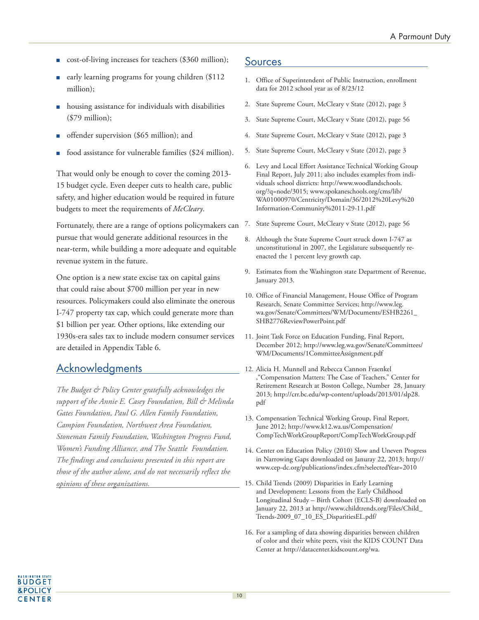- cost-of-living increases for teachers (\$360 million);
- early learning programs for young children (\$112 million);
- housing assistance for individuals with disabilities (\$79 million);
- offender supervision (\$65 million); and
- food assistance for vulnerable families (\$24 million).

That would only be enough to cover the coming 2013- 15 budget cycle. Even deeper cuts to health care, public safety, and higher education would be required in future budgets to meet the requirements of *McCleary*.

Fortunately, there are a range of options policymakers can pursue that would generate additional resources in the near-term, while building a more adequate and equitable revenue system in the future.

One option is a new state excise tax on capital gains that could raise about \$700 million per year in new resources. Policymakers could also eliminate the onerous I-747 property tax cap, which could generate more than \$1 billion per year. Other options, like extending our 1930s-era sales tax to include modern consumer services are detailed in Appendix Table 6.

### **Acknowledgments**

*The Budget & Policy Center gratefully acknowledges the support of the Annie E. Casey Foundation, Bill & Melinda Gates Foundation, Paul G. Allen Family Foundation, Campion Foundation, Northwest Area Foundation, Stoneman Family Foundation, Washington Progress Fund, Women's Funding Alliance, and The Seattle Foundation. The findings and conclusions presented in this report are those of the author alone, and do not necessarily reflect the opinions of these organizations.*

### Sources

- 1. Office of Superintendent of Public Instruction, enrollment data for 2012 school year as of 8/23/12
- 2. State Supreme Court, McCleary v State (2012), page 3
- 3. State Supreme Court, McCleary v State (2012), page 56
- 4. State Supreme Court, McCleary v State (2012), page 3
- 5. State Supreme Court, McCleary v State (2012), page 3
- 6. Levy and Local Effort Assistance Technical Working Group Final Report, July 2011; also includes examples from individuals school districts: http://www.woodlandschools. org/?q=node/3015; www.spokaneschools.org/cms/lib/ WA01000970/Centricity/Domain/36/2012%20Levy%20 Information-Community%2011-29-11.pdf
- 7. State Supreme Court, McCleary v State (2012), page 56
- 8. Although the State Supreme Court struck down I-747 as unconstitutional in 2007, the Legislature subsequently reenacted the 1 percent levy growth cap.
- 9. Estimates from the Washington state Department of Revenue, January 2013.
- 10. Office of Financial Management, House Office of Program Research, Senate Committee Services; http://www.leg. wa.gov/Senate/Committees/WM/Documents/ESHB2261\_ SHB2776ReviewPowerPoint.pdf
- 11. Joint Task Force on Education Funding, Final Report, December 2012; http://www.leg.wa.gov/Senate/Committees/ WM/Documents/1CommitteeAssignment.pdf
- 12. Alicia H. Munnell and Rebecca Cannon Fraenkel ,"Compensation Matters: The Case of Teachers," Center for Retirement Research at Boston College, Number 28, January 2013; http://crr.bc.edu/wp-content/uploads/2013/01/slp28. pdf
- 13. Compensation Technical Working Group, Final Report, June 2012; http://www.k12.wa.us/Compensation/ CompTechWorkGroupReport/CompTechWorkGroup.pdf
- 14. Center on Education Policy (2010) Slow and Uneven Progress in Narrowing Gaps downloaded on Januray 22, 2013; http:// www.cep-dc.org/publications/index.cfm?selectedYear=2010
- 15. Child Trends (2009) Disparities in Early Learning and Development: Lessons from the Early Childhood Longitudinal Study – Birth Cohort (ECLS-B) downloaded on January 22, 2013 at http://www.childtrends.org/Files/Child\_ Trends-2009\_07\_10\_ES\_DisparitiesEL.pdf/
- 16. For a sampling of data showing disparities between children of color and their white peers, visit the KIDS COUNT Data Center at http://datacenter.kidscount.org/wa.

**BUDGET &POLICY CENTER**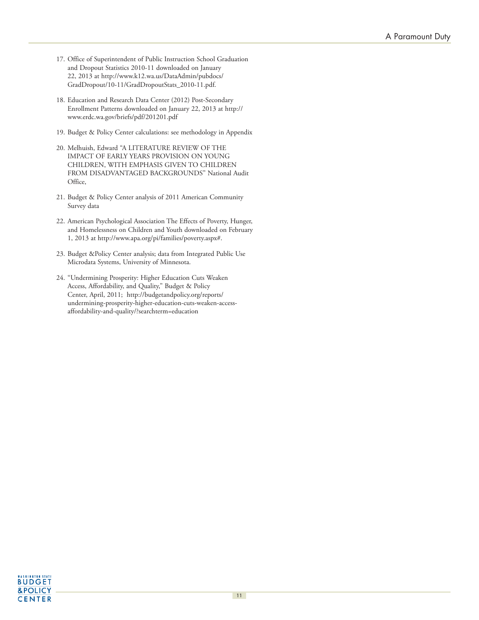- 17. Office of Superintendent of Public Instruction School Graduation and Dropout Statistics 2010-11 downloaded on January 22, 2013 at http://www.k12.wa.us/DataAdmin/pubdocs/ GradDropout/10-11/GradDropoutStats\_2010-11.pdf.
- 18. Education and Research Data Center (2012) Post-Secondary Enrollment Patterns downloaded on January 22, 2013 at http:// www.erdc.wa.gov/briefs/pdf/201201.pdf
- 19. Budget & Policy Center calculations: see methodology in Appendix
- 20. Melhuish, Edward "A LITERATURE REVIEW OF THE IMPACT OF EARLY YEARS PROVISION ON YOUNG CHILDREN, WITH EMPHASIS GIVEN TO CHILDREN FROM DISADVANTAGED BACKGROUNDS" National Audit Office,
- 21. Budget & Policy Center analysis of 2011 American Community Survey data
- 22. American Psychological Association The Effects of Poverty, Hunger, and Homelessness on Children and Youth downloaded on February 1, 2013 at http://www.apa.org/pi/families/poverty.aspx#.
- 23. Budget &Policy Center analysis; data from Integrated Public Use Microdata Systems, University of Minnesota.
- 24. "Undermining Prosperity: Higher Education Cuts Weaken Access, Affordability, and Quality," Budget & Policy Center, April, 2011; http://budgetandpolicy.org/reports/ undermining-prosperity-higher-education-cuts-weaken-accessaffordability-and-quality/?searchterm=education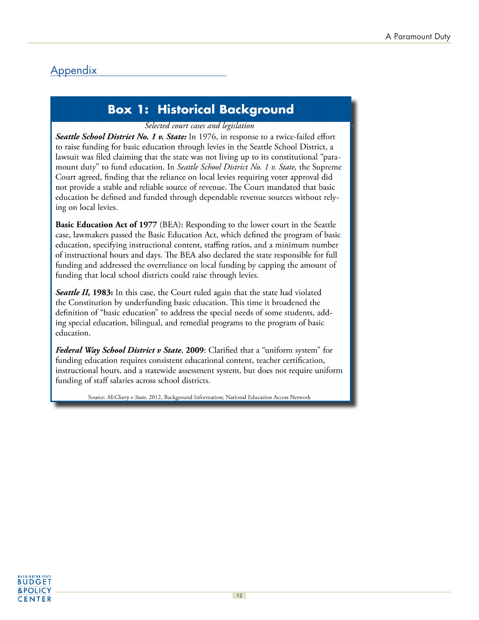## **Appendix**

## **Box 1: Historical Background**

#### Selected court cases and legislation

Seattle School District No. 1 v. State: In 1976, in response to a twice-failed effort to raise funding for basic education through levies in the Seattle School District, a lawsuit was filed claiming that the state was not living up to its constitutional "paramount duty" to fund education. In Seattle School District No. 1 v. State, the Supreme Court agreed, finding that the reliance on local levies requiring voter approval did not provide a stable and reliable source of revenue. The Court mandated that basic education be defined and funded through dependable revenue sources without relying on local levies.

**Basic Education Act of 1977** (BEA): Responding to the lower court in the Seattle case, lawmakers passed the Basic Education Act, which defined the program of basic education, specifying instructional content, staffing ratios, and a minimum number of instructional hours and days. The BEA also declared the state responsible for full funding and addressed the overreliance on local funding by capping the amount of funding that local school districts could raise through levies.

Seattle II, 1983: In this case, the Court ruled again that the state had violated the Constitution by underfunding basic education. This time it broadened the definition of "basic education" to address the special needs of some students, adding special education, bilingual, and remedial programs to the program of basic education.

Federal Way School District v State, 2009: Clarified that a "uniform system" for funding education requires consistent educational content, teacher certification, instructional hours, and a statewide assessment system, but does not require uniform funding of staff salaries across school districts.

Source: McCleary v State, 2012, Background Information; National Education Access Network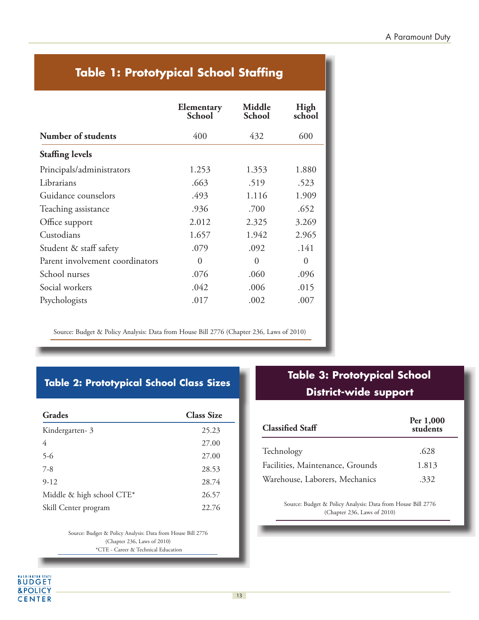## **Table 1: Prototypical School Staffing**

|                                 | Elementary<br><b>School</b> | Middle<br><b>School</b> | High<br>school |
|---------------------------------|-----------------------------|-------------------------|----------------|
| Number of students              | 400                         | 432                     | 600            |
| <b>Staffing levels</b>          |                             |                         |                |
| Principals/administrators       | 1.253                       | 1.353                   | 1.880          |
| Librarians                      | .663                        | .519                    | .523           |
| Guidance counselors             | .493                        | 1.116                   | 1.909          |
| Teaching assistance             | .936                        | .700                    | .652           |
| Office support                  | 2.012                       | 2.325                   | 3.269          |
| Custodians                      | 1.657                       | 1.942                   | 2.965          |
| Student & staff safety          | .079                        | .092                    | .141           |
| Parent involvement coordinators | $\theta$                    | $\Omega$                | $\Omega$       |
| School nurses                   | .076                        | .060                    | .096           |
| Social workers                  | .042                        | .006                    | .015           |
| Psychologists                   | .017                        | .002                    | .007           |

Source: Budget & Policy Analysis: Data from House Bill 2776 (Chapter 236, Laws of 2010)

### **Table 2: Prototypical School Class Sizes**

| Grades                    | <b>Class Size</b> |
|---------------------------|-------------------|
| Kindergarten-3            | 25.23             |
| 4                         | 27.00             |
| $5 - 6$                   | 27.00             |
| $7 - 8$                   | 28.53             |
| $9-12$                    | 28.74             |
| Middle & high school CTE* | 26.57             |
| Skill Center program      | 22.76             |
|                           |                   |

Source: Budget & Policy Analysis: Data from House Bill 2776 (Chapter 236, Laws of 2010) \*CTE - Career & Technical Education

**BUDGET** &POLICY **CENTER** 

## **Table 3: Prototypical School District-wide support**

| <b>Classified Staff</b>          | Per 1,000<br>students |  |
|----------------------------------|-----------------------|--|
| Technology                       | .628                  |  |
| Facilities, Maintenance, Grounds | 1.813                 |  |
| Warehouse, Laborers, Mechanics   | .332                  |  |

Source: Budget & Policy Analysis: Data from House Bill 2776 (Chapter 236, Laws of 2010)

j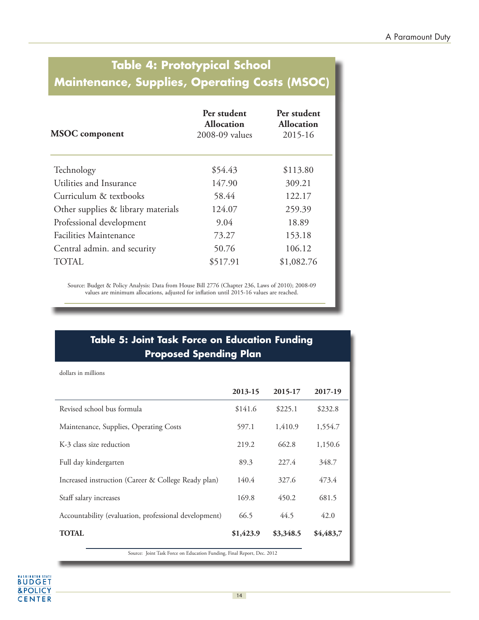## **Table 4: Prototypical School Maintenance, Supplies, Operating Costs (MSOC)**

| <b>MSOC</b> component              | Per student<br><b>Allocation</b><br>2008-09 values | Per student<br><b>Allocation</b><br>2015-16 |  |
|------------------------------------|----------------------------------------------------|---------------------------------------------|--|
| Technology                         | \$54.43                                            | \$113.80                                    |  |
| Utilities and Insurance            | 147.90                                             | 309.21                                      |  |
| Curriculum & textbooks             | 58.44                                              | 122.17                                      |  |
| Other supplies & library materials | 124.07                                             | 259.39                                      |  |
| Professional development           | 9.04                                               | 18.89                                       |  |
| <b>Facilities Maintenance</b>      | 73.27                                              | 153.18                                      |  |
| Central admin. and security        | 50.76                                              | 106.12                                      |  |
| TOTAL.                             | \$517.91                                           | \$1,082.76                                  |  |

Source: Budget & Policy Analysis: Data from House Bill 2776 (Chapter 236, Laws of 2010); 2008-09 values are minimum allocations, adjusted for inflation until 2015-16 values are reached.

### **Table 5: Joint Task Force on Education Funding Proposed Spending Plan**

| dollars in millions                                                    |           |           |           |
|------------------------------------------------------------------------|-----------|-----------|-----------|
|                                                                        | 2013-15   | 2015-17   | 2017-19   |
| Revised school bus formula                                             | \$141.6   | \$225.1   | \$232.8   |
| Maintenance, Supplies, Operating Costs                                 | 597.1     | 1,410.9   | 1,554.7   |
| K-3 class size reduction                                               | 219.2     | 662.8     | 1,150.6   |
| Full day kindergarten                                                  | 89.3      | 227.4     | 348.7     |
| Increased instruction (Career & College Ready plan)                    | 140.4     | 327.6     | 473.4     |
| Staff salary increases                                                 | 169.8     | 450.2     | 681.5     |
| Accountability (evaluation, professional development)                  | 66.5      | 44.5      | 42.0      |
| <b>TOTAL</b>                                                           | \$1,423.9 | \$3,348.5 | \$4,483,7 |
| Source: Joint Task Force on Education Funding, Final Report, Dec. 2012 |           |           |           |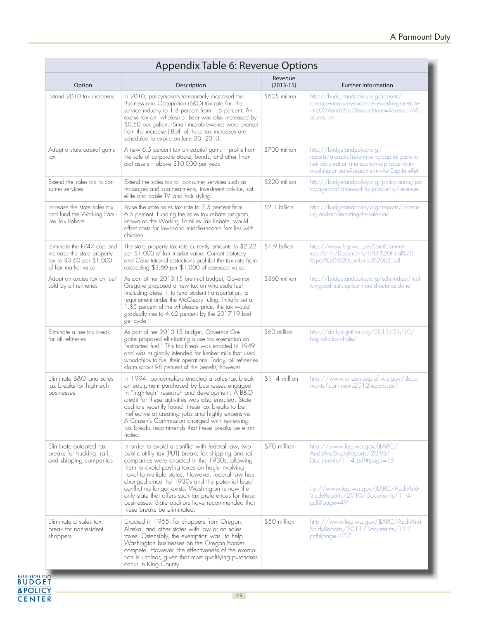| Appendix Table 6: Revenue Options                                                                               |                                                                                                                                                                                                                                                                                                                                                                                                                                                                                                                         |                        |                                                                                                                                                                                      |
|-----------------------------------------------------------------------------------------------------------------|-------------------------------------------------------------------------------------------------------------------------------------------------------------------------------------------------------------------------------------------------------------------------------------------------------------------------------------------------------------------------------------------------------------------------------------------------------------------------------------------------------------------------|------------------------|--------------------------------------------------------------------------------------------------------------------------------------------------------------------------------------|
| Option                                                                                                          | Description                                                                                                                                                                                                                                                                                                                                                                                                                                                                                                             | Revenue<br>$(2013-15)$ | Further information                                                                                                                                                                  |
| Extend 2010 tax increases                                                                                       | In 2010, policymakers temporarily increased the<br>Business and Occupation (B&O) tax rate for the<br>service industry to 1.8 percent from 1.5 percent. An<br>excise tax on wholesale beer was also increased by<br>\$0.50 per gallon. (Small microbreweries were exempt<br>from the increase.) Both of these tax increases are<br>scheduled to expire on June 30, 2013.                                                                                                                                                 | \$635 million          | http://budgetandpolicy.org/reports/<br>revenue-measures-enacted-in-washington-state-<br>in-2009-and-2010?searchterm=Revenue+Me<br>asures+en                                          |
| Adopt a state capital gains<br>tax                                                                              | A new 6.5 percent tax on capital gains - profits from<br>the sale of corporate stocks, bonds, and other finan-<br>cial assets - above \$10,000 per year.                                                                                                                                                                                                                                                                                                                                                                | \$700 million          | http://budgetandpolicy.org/<br>reports/a-capital-reform-using-capital-gains-to-<br>fuel-job-creation-and-economic-prosperity-in-<br>washington-state?searchterm=A+Capital+Ref        |
| Extend the sales tax to con-<br>sumer services                                                                  | Extend the sales tax to consumer services such as<br>massages and spa treatments, investment advice, sat-<br>ellite and cable TV, and hair styling.                                                                                                                                                                                                                                                                                                                                                                     | \$220 million          | http://budgetandpolicy.org/policy-areas/pol-<br>icy-agenda-framework-for-prosperity/revenue                                                                                          |
| Increase the state sales tax<br>and fund the Working Fami-<br>lies Tax Rebate                                   | Raise the state sales tax rate to 7.5 percent from<br>6.5 percent. Funding the sales tax rebate program,<br>known as the Working Families Tax Rebate, would<br>offset costs for lower-and middle-income families with<br>children.                                                                                                                                                                                                                                                                                      | \$2.1 billion          | http://budgetandpolicy.org/reports/increas-<br>ing-and-modernizing-the-sales-tax                                                                                                     |
| Eliminate the I-747 cap and<br>increase the state property<br>tax to \$3.60 per \$1,000<br>of fair market value | The state property tax rate currently amounts to $$2.22$<br>per \$1,000 of fair market value. Current statutory<br>and Constitutional restrictions prohibit the tax rate from<br>exceeding \$3.60 per \$1,000 of assessed value.                                                                                                                                                                                                                                                                                        | \$1.9 billion          | http://www.leg.wa.gov/JointCommit-<br>tees/EFTF/Documents/JTFEF%20Final%20<br>Report%20-%20combined%20(2).pdf                                                                        |
| Adopt an excise tax on fuel<br>sold by oil refineries                                                           | As part of her 2013-15 biennial budget, Governor<br>Gregoire proposed a new tax on wholesale fuel<br>(including diesel) to fund student transportation, a<br>requirement under the McCleary ruling. Initially set at<br>1.85 percent of the wholesale price, the tax would<br>gradually rise to 4.62 percent by the 2017-19 bud-<br>get cycle.                                                                                                                                                                          | \$360 million          | http://budgetandpolicy.org/schmudget/fuel-<br>tax-good-first-step-but-more-should-be-done                                                                                            |
| Eliminate a use tax break<br>for oil refineries                                                                 | As part of her 2013-15 budget, Governor Gre-<br>goire proposed eliminating a use tax exemption on<br>extracted fuel." This tax break was enacted in 1949"<br>and was originally intended for lumber mills that used<br>woodchips to fuel their operations. Today, oil refineries<br>claim about 98 percent of the benefit, however.                                                                                                                                                                                     | \$60 million           | http://daily.sightline.org/2013/01/10/<br>hog-wild-loophole/                                                                                                                         |
| Eliminate B&O and sales<br>tax breaks for high-tech<br>businesses                                               | In 1994, policymakers enacted a sales tax break<br>on equipment purchased by businesses engaged<br>in "high-tech" research and development. A B&O<br>credit for these activities was also enacted. State<br>auditors recently found these tax breaks to be<br>ineffective at creating jobs and highly expensive.<br>A Citizen's Commission charged with reviewing<br>tax breaks recommends that these breaks be elimi-<br>nated.                                                                                        | $$114$ million         | http://www.citizentaxpref.wa.gov/docu-<br>ments/comments2012reports.pdf                                                                                                              |
| Eliminate outdated tax<br>breaks for trucking, rail,<br>and shipping companies                                  | In order to avoid a conflict with federal law, two<br>public utility tax (PUT) breaks for shipping and rail<br>companies were enacted in the 1930s, allowing<br>them to avoid paying taxes on hauls involving<br>travel to multiple states. However, federal law has<br>changed since the 1930s and the potential legal<br>conflict no longer exists. Washington is now the<br>only state that offers such tax preferences for these<br>businesses. State auditors have recommended that<br>these breaks be eliminated. | \$70 million           | http://www.leg.wa.gov/JLARC/<br>AuditAndStudyReports/2010/<br>Documents/11-4.pdf#page=15<br>ttp://www.leg.wa.gov/JLARC/AuditAnd-<br>StudyReports/2010/Documents/11-4.<br>pdf#page=49 |
| Eliminate a sales tax<br>break for nonresident<br>shoppers<br>TATE                                              | Enacted in 1965, for shoppers from Oregon,<br>Alaska, and other states with low or no sales<br>taxes. Ostensibly, the exemption was to help<br>Washington businesses on the Oregon border<br>compete. However, the effectiveness of the exemp-<br>tion is unclear, given that most qualifying purchases<br>occur in King County.                                                                                                                                                                                        | \$50 million           | http://www.leg.wa.gov/JLARC/AuditAnd-<br>StudyReports/2011/Documents/12-2.<br>pdf#page=227                                                                                           |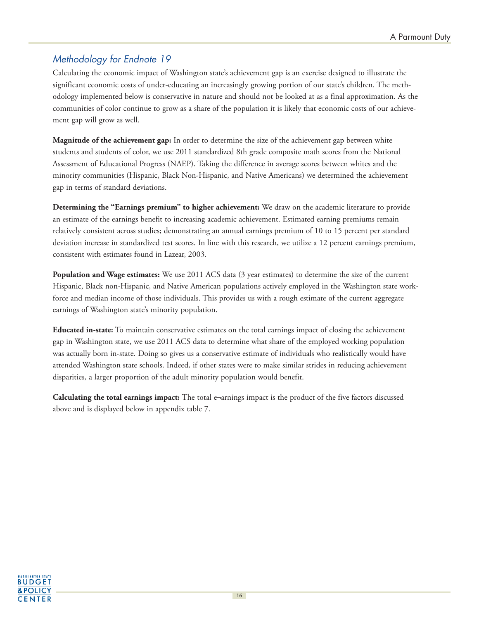### Methodology for Endnote 19

Calculating the economic impact of Washington state's achievement gap is an exercise designed to illustrate the significant economic costs of under-educating an increasingly growing portion of our state's children. The methodology implemented below is conservative in nature and should not be looked at as a final approximation. As the communities of color continue to grow as a share of the population it is likely that economic costs of our achievement gap will grow as well.

**Magnitude of the achievement gap:** In order to determine the size of the achievement gap between white students and students of color, we use 2011 standardized 8th grade composite math scores from the National Assessment of Educational Progress (NAEP). Taking the difference in average scores between whites and the minority communities (Hispanic, Black Non-Hispanic, and Native Americans) we determined the achievement gap in terms of standard deviations.

**Determining the "Earnings premium" to higher achievement:** We draw on the academic literature to provide an estimate of the earnings benefit to increasing academic achievement. Estimated earning premiums remain relatively consistent across studies; demonstrating an annual earnings premium of 10 to 15 percent per standard deviation increase in standardized test scores. In line with this research, we utilize a 12 percent earnings premium, consistent with estimates found in Lazear, 2003.

**Population and Wage estimates:** We use 2011 ACS data (3 year estimates) to determine the size of the current Hispanic, Black non-Hispanic, and Native American populations actively employed in the Washington state workforce and median income of those individuals. This provides us with a rough estimate of the current aggregate earnings of Washington state's minority population.

**Educated in-state:** To maintain conservative estimates on the total earnings impact of closing the achievement gap in Washington state, we use 2011 ACS data to determine what share of the employed working population was actually born in-state. Doing so gives us a conservative estimate of individuals who realistically would have attended Washington state schools. Indeed, if other states were to make similar strides in reducing achievement disparities, a larger proportion of the adult minority population would benefit.

**Calculating the total earnings impact:** The total e¬arnings impact is the product of the five factors discussed above and is displayed below in appendix table 7.